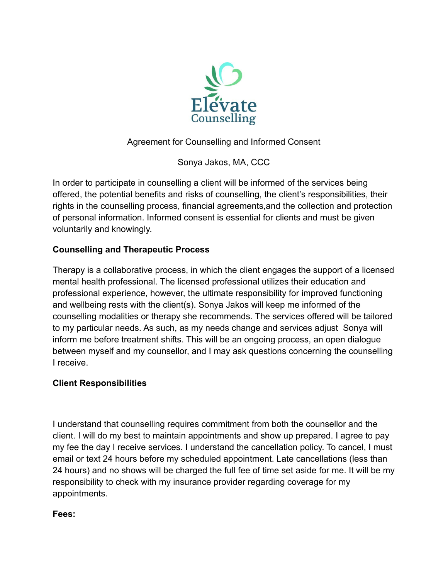

# Agreement for Counselling and Informed Consent

Sonya Jakos, MA, CCC

In order to participate in counselling a client will be informed of the services being offered, the potential benefits and risks of counselling, the client's responsibilities, their rights in the counselling process, financial agreements,and the collection and protection of personal information. Informed consent is essential for clients and must be given voluntarily and knowingly.

## **Counselling and Therapeutic Process**

Therapy is a collaborative process, in which the client engages the support of a licensed mental health professional. The licensed professional utilizes their education and professional experience, however, the ultimate responsibility for improved functioning and wellbeing rests with the client(s). Sonya Jakos will keep me informed of the counselling modalities or therapy she recommends. The services offered will be tailored to my particular needs. As such, as my needs change and services adjust Sonya will inform me before treatment shifts. This will be an ongoing process, an open dialogue between myself and my counsellor, and I may ask questions concerning the counselling I receive.

# **Client Responsibilities**

I understand that counselling requires commitment from both the counsellor and the client. I will do my best to maintain appointments and show up prepared. I agree to pay my fee the day I receive services. I understand the cancellation policy. To cancel, I must email or text 24 hours before my scheduled appointment. Late cancellations (less than 24 hours) and no shows will be charged the full fee of time set aside for me. It will be my responsibility to check with my insurance provider regarding coverage for my appointments.

#### **Fees:**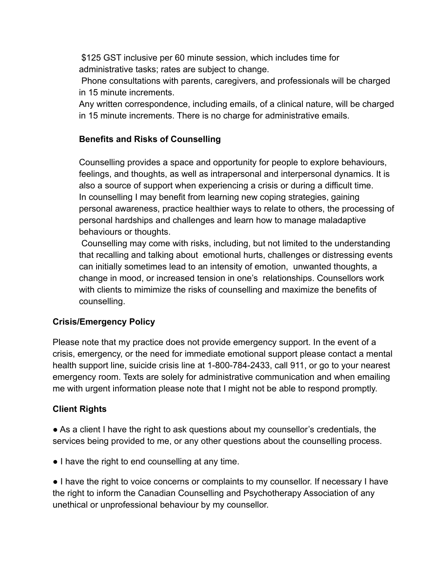\$125 GST inclusive per 60 minute session, which includes time for administrative tasks; rates are subject to change.

Phone consultations with parents, caregivers, and professionals will be charged in 15 minute increments.

Any written correspondence, including emails, of a clinical nature, will be charged in 15 minute increments. There is no charge for administrative emails.

## **Benefits and Risks of Counselling**

Counselling provides a space and opportunity for people to explore behaviours, feelings, and thoughts, as well as intrapersonal and interpersonal dynamics. It is also a source of support when experiencing a crisis or during a difficult time. In counselling I may benefit from learning new coping strategies, gaining personal awareness, practice healthier ways to relate to others, the processing of personal hardships and challenges and learn how to manage maladaptive behaviours or thoughts.

Counselling may come with risks, including, but not limited to the understanding that recalling and talking about emotional hurts, challenges or distressing events can initially sometimes lead to an intensity of emotion, unwanted thoughts, a change in mood, or increased tension in one's relationships. Counsellors work with clients to mimimize the risks of counselling and maximize the benefits of counselling.

### **Crisis/Emergency Policy**

Please note that my practice does not provide emergency support. In the event of a crisis, emergency, or the need for immediate emotional support please contact a mental health support line, suicide crisis line at 1-800-784-2433, call 911, or go to your nearest emergency room. Texts are solely for administrative communication and when emailing me with urgent information please note that I might not be able to respond promptly.

### **Client Rights**

● As a client I have the right to ask questions about my counsellor's credentials, the services being provided to me, or any other questions about the counselling process.

● I have the right to end counselling at any time.

● I have the right to voice concerns or complaints to my counsellor. If necessary I have the right to inform the Canadian Counselling and Psychotherapy Association of any unethical or unprofessional behaviour by my counsellor.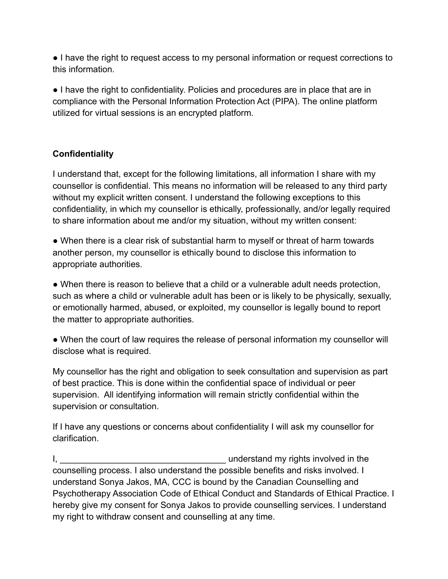● I have the right to request access to my personal information or request corrections to this information.

● I have the right to confidentiality. Policies and procedures are in place that are in compliance with the Personal Information Protection Act (PIPA). The online platform utilized for virtual sessions is an encrypted platform.

# **Confidentiality**

I understand that, except for the following limitations, all information I share with my counsellor is confidential. This means no information will be released to any third party without my explicit written consent. I understand the following exceptions to this confidentiality, in which my counsellor is ethically, professionally, and/or legally required to share information about me and/or my situation, without my written consent:

• When there is a clear risk of substantial harm to myself or threat of harm towards another person, my counsellor is ethically bound to disclose this information to appropriate authorities.

• When there is reason to believe that a child or a vulnerable adult needs protection, such as where a child or vulnerable adult has been or is likely to be physically, sexually, or emotionally harmed, abused, or exploited, my counsellor is legally bound to report the matter to appropriate authorities.

• When the court of law requires the release of personal information my counsellor will disclose what is required.

My counsellor has the right and obligation to seek consultation and supervision as part of best practice. This is done within the confidential space of individual or peer supervision. All identifying information will remain strictly confidential within the supervision or consultation.

If I have any questions or concerns about confidentiality I will ask my counsellor for clarification.

I, and the standard my rights involved in the late of the standard my rights involved in the counselling process. I also understand the possible benefits and risks involved. I understand Sonya Jakos, MA, CCC is bound by the Canadian Counselling and Psychotherapy Association Code of Ethical Conduct and Standards of Ethical Practice. I hereby give my consent for Sonya Jakos to provide counselling services. I understand my right to withdraw consent and counselling at any time.